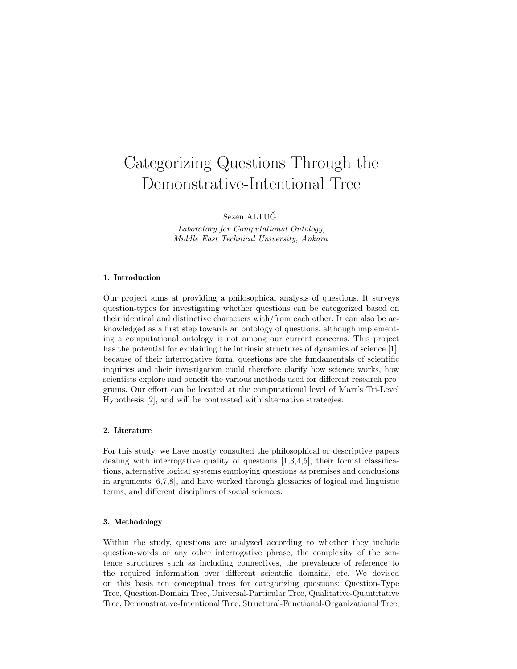# Categorizing Questions Through the Demonstrative-Intentional Tree

Sezen ALTUG˘

Laboratory for Computational Ontology, Middle East Technical University, Ankara

## 1. Introduction

Our project aims at providing a philosophical analysis of questions. It surveys question-types for investigating whether questions can be categorized based on their identical and distinctive characters with/from each other. It can also be acknowledged as a first step towards an ontology of questions, although implementing a computational ontology is not among our current concerns. This project has the potential for explaining the intrinsic structures of dynamics of science [1]: because of their interrogative form, questions are the fundamentals of scientific inquiries and their investigation could therefore clarify how science works, how scientists explore and benefit the various methods used for different research programs. Our effort can be located at the computational level of Marr's Tri-Level Hypothesis [2], and will be contrasted with alternative strategies.

# 2. Literature

For this study, we have mostly consulted the philosophical or descriptive papers dealing with interrogative quality of questions [1,3,4,5], their formal classifications, alternative logical systems employing questions as premises and conclusions in arguments [6,7,8], and have worked through glossaries of logical and linguistic terms, and different disciplines of social sciences.

## 3. Methodology

Within the study, questions are analyzed according to whether they include question-words or any other interrogative phrase, the complexity of the sentence structures such as including connectives, the prevalence of reference to the required information over different scientific domains, etc. We devised on this basis ten conceptual trees for categorizing questions: Question-Type Tree, Question-Domain Tree, Universal-Particular Tree, Qualitative-Quantitative Tree, Demonstrative-Intentional Tree, Structural-Functional-Organizational Tree,